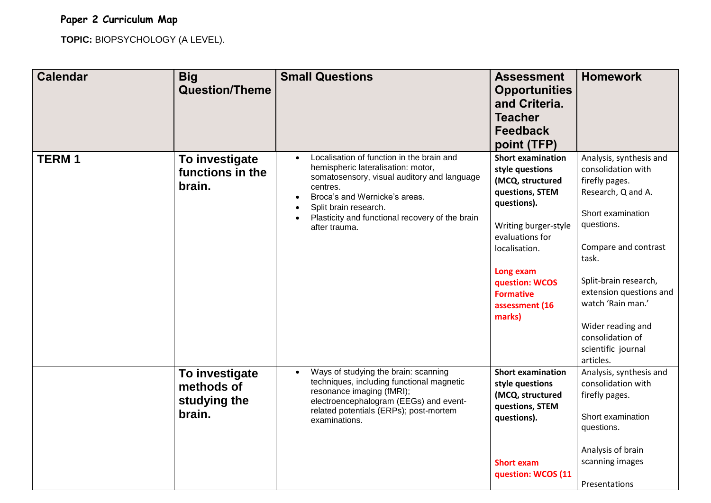## **Paper 2 Curriculum Map**

**TOPIC:** BIOPSYCHOLOGY (A LEVEL).

| <b>Calendar</b> | <b>Big</b><br><b>Question/Theme</b>                    | <b>Small Questions</b>                                                                                                                                                                                                                                                                             | <b>Assessment</b><br><b>Opportunities</b><br>and Criteria.<br><b>Teacher</b><br><b>Feedback</b><br>point (TFP)                                                                                                                               | <b>Homework</b>                                                                                                                                                                                                                                                                                                |
|-----------------|--------------------------------------------------------|----------------------------------------------------------------------------------------------------------------------------------------------------------------------------------------------------------------------------------------------------------------------------------------------------|----------------------------------------------------------------------------------------------------------------------------------------------------------------------------------------------------------------------------------------------|----------------------------------------------------------------------------------------------------------------------------------------------------------------------------------------------------------------------------------------------------------------------------------------------------------------|
| <b>TERM1</b>    | To investigate<br>functions in the<br>brain.           | Localisation of function in the brain and<br>hemispheric lateralisation: motor,<br>somatosensory, visual auditory and language<br>centres.<br>Broca's and Wernicke's areas.<br>$\bullet$<br>Split brain research.<br>$\bullet$<br>Plasticity and functional recovery of the brain<br>after trauma. | <b>Short examination</b><br>style questions<br>(MCQ, structured<br>questions, STEM<br>questions).<br>Writing burger-style<br>evaluations for<br>localisation.<br>Long exam<br>question: WCOS<br><b>Formative</b><br>assessment (16<br>marks) | Analysis, synthesis and<br>consolidation with<br>firefly pages.<br>Research, Q and A.<br>Short examination<br>questions.<br>Compare and contrast<br>task.<br>Split-brain research,<br>extension questions and<br>watch 'Rain man.'<br>Wider reading and<br>consolidation of<br>scientific journal<br>articles. |
|                 | To investigate<br>methods of<br>studying the<br>brain. | Ways of studying the brain: scanning<br>techniques, including functional magnetic<br>resonance imaging (fMRI);<br>electroencephalogram (EEGs) and event-<br>related potentials (ERPs); post-mortem<br>examinations.                                                                                | <b>Short examination</b><br>style questions<br>(MCQ, structured<br>questions, STEM<br>questions).<br><b>Short exam</b><br>question: WCOS (11                                                                                                 | Analysis, synthesis and<br>consolidation with<br>firefly pages.<br>Short examination<br>questions.<br>Analysis of brain<br>scanning images<br>Presentations                                                                                                                                                    |